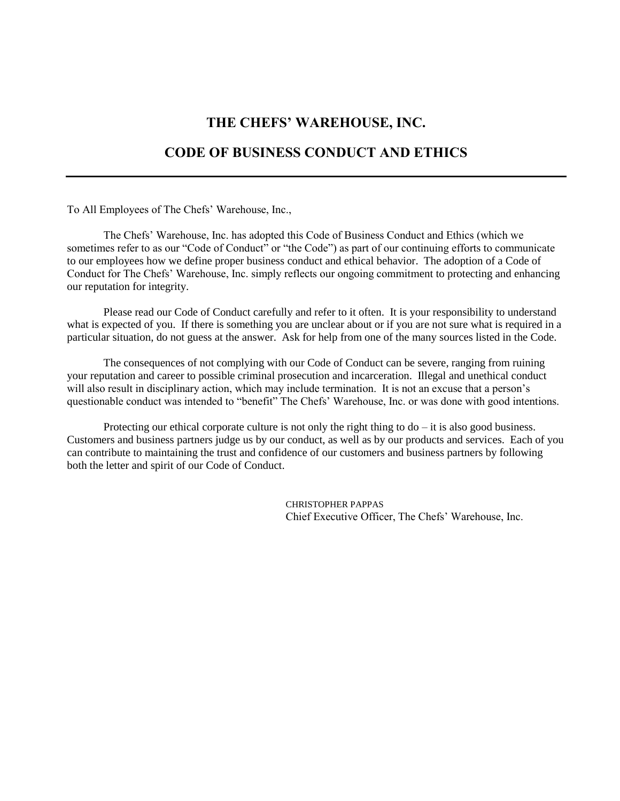# **THE CHEFS' WAREHOUSE, INC.**

# **CODE OF BUSINESS CONDUCT AND ETHICS**

To All Employees of The Chefs' Warehouse, Inc.,

The Chefs' Warehouse, Inc. has adopted this Code of Business Conduct and Ethics (which we sometimes refer to as our "Code of Conduct" or "the Code") as part of our continuing efforts to communicate to our employees how we define proper business conduct and ethical behavior. The adoption of a Code of Conduct for The Chefs' Warehouse, Inc. simply reflects our ongoing commitment to protecting and enhancing our reputation for integrity.

Please read our Code of Conduct carefully and refer to it often. It is your responsibility to understand what is expected of you. If there is something you are unclear about or if you are not sure what is required in a particular situation, do not guess at the answer. Ask for help from one of the many sources listed in the Code.

The consequences of not complying with our Code of Conduct can be severe, ranging from ruining your reputation and career to possible criminal prosecution and incarceration. Illegal and unethical conduct will also result in disciplinary action, which may include termination. It is not an excuse that a person's questionable conduct was intended to "benefit" The Chefs' Warehouse, Inc. or was done with good intentions.

Protecting our ethical corporate culture is not only the right thing to  $d\sigma - i\tau$  is also good business. Customers and business partners judge us by our conduct, as well as by our products and services. Each of you can contribute to maintaining the trust and confidence of our customers and business partners by following both the letter and spirit of our Code of Conduct.

> CHRISTOPHER PAPPAS Chief Executive Officer, The Chefs' Warehouse, Inc.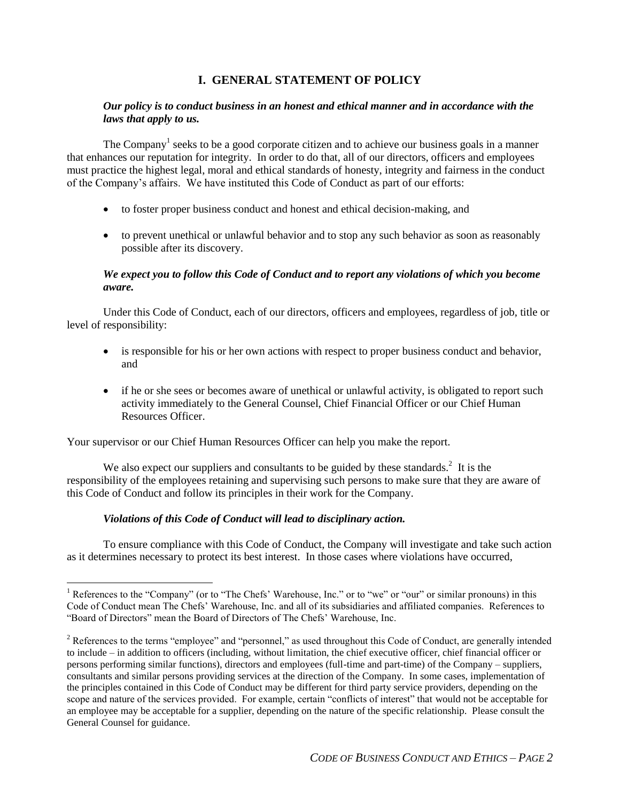## **I. GENERAL STATEMENT OF POLICY**

## *Our policy is to conduct business in an honest and ethical manner and in accordance with the laws that apply to us.*

The Company<sup>1</sup> seeks to be a good corporate citizen and to achieve our business goals in a manner that enhances our reputation for integrity. In order to do that, all of our directors, officers and employees must practice the highest legal, moral and ethical standards of honesty, integrity and fairness in the conduct of the Company's affairs. We have instituted this Code of Conduct as part of our efforts:

- to foster proper business conduct and honest and ethical decision-making, and
- to prevent unethical or unlawful behavior and to stop any such behavior as soon as reasonably possible after its discovery.

## *We expect you to follow this Code of Conduct and to report any violations of which you become aware.*

Under this Code of Conduct, each of our directors, officers and employees, regardless of job, title or level of responsibility:

- is responsible for his or her own actions with respect to proper business conduct and behavior, and
- if he or she sees or becomes aware of unethical or unlawful activity, is obligated to report such activity immediately to the General Counsel, Chief Financial Officer or our Chief Human Resources Officer.

Your supervisor or our Chief Human Resources Officer can help you make the report.

We also expect our suppliers and consultants to be guided by these standards. $2$  It is the responsibility of the employees retaining and supervising such persons to make sure that they are aware of this Code of Conduct and follow its principles in their work for the Company.

## *Violations of this Code of Conduct will lead to disciplinary action.*

 $\overline{a}$ 

To ensure compliance with this Code of Conduct, the Company will investigate and take such action as it determines necessary to protect its best interest. In those cases where violations have occurred,

References to the "Company" (or to "The Chefs' Warehouse, Inc." or to "we" or "our" or similar pronouns) in this Code of Conduct mean The Chefs' Warehouse, Inc. and all of its subsidiaries and affiliated companies. References to "Board of Directors" mean the Board of Directors of The Chefs' Warehouse, Inc.

<sup>&</sup>lt;sup>2</sup> References to the terms "employee" and "personnel," as used throughout this Code of Conduct, are generally intended to include – in addition to officers (including, without limitation, the chief executive officer, chief financial officer or persons performing similar functions), directors and employees (full-time and part-time) of the Company – suppliers, consultants and similar persons providing services at the direction of the Company. In some cases, implementation of the principles contained in this Code of Conduct may be different for third party service providers, depending on the scope and nature of the services provided. For example, certain "conflicts of interest" that would not be acceptable for an employee may be acceptable for a supplier, depending on the nature of the specific relationship. Please consult the General Counsel for guidance.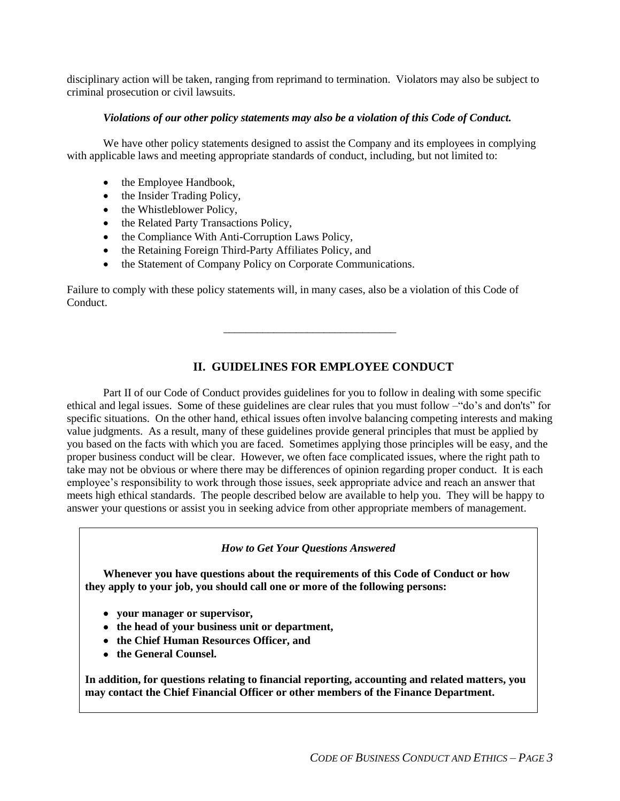disciplinary action will be taken, ranging from reprimand to termination. Violators may also be subject to criminal prosecution or civil lawsuits.

#### *Violations of our other policy statements may also be a violation of this Code of Conduct.*

We have other policy statements designed to assist the Company and its employees in complying with applicable laws and meeting appropriate standards of conduct, including, but not limited to:

- the Employee Handbook,
- the Insider Trading Policy,
- the Whistleblower Policy,
- the Related Party Transactions Policy,
- the Compliance With Anti-Corruption Laws Policy,
- the Retaining Foreign Third-Party Affiliates Policy, and
- the Statement of Company Policy on Corporate Communications.

Failure to comply with these policy statements will, in many cases, also be a violation of this Code of Conduct.

# **II. GUIDELINES FOR EMPLOYEE CONDUCT**

\_\_\_\_\_\_\_\_\_\_\_\_\_\_\_\_\_\_\_\_\_\_\_\_\_\_\_\_\_\_\_

Part II of our Code of Conduct provides guidelines for you to follow in dealing with some specific ethical and legal issues. Some of these guidelines are clear rules that you must follow –"do's and don'ts" for specific situations. On the other hand, ethical issues often involve balancing competing interests and making value judgments. As a result, many of these guidelines provide general principles that must be applied by you based on the facts with which you are faced. Sometimes applying those principles will be easy, and the proper business conduct will be clear. However, we often face complicated issues, where the right path to take may not be obvious or where there may be differences of opinion regarding proper conduct. It is each employee's responsibility to work through those issues, seek appropriate advice and reach an answer that meets high ethical standards. The people described below are available to help you. They will be happy to answer your questions or assist you in seeking advice from other appropriate members of management.

*How to Get Your Questions Answered*

**Whenever you have questions about the requirements of this Code of Conduct or how they apply to your job, you should call one or more of the following persons:**

- **your manager or supervisor,**
- **the head of your business unit or department,**
- **the Chief Human Resources Officer, and**
- **the General Counsel.**

**In addition, for questions relating to financial reporting, accounting and related matters, you may contact the Chief Financial Officer or other members of the Finance Department.**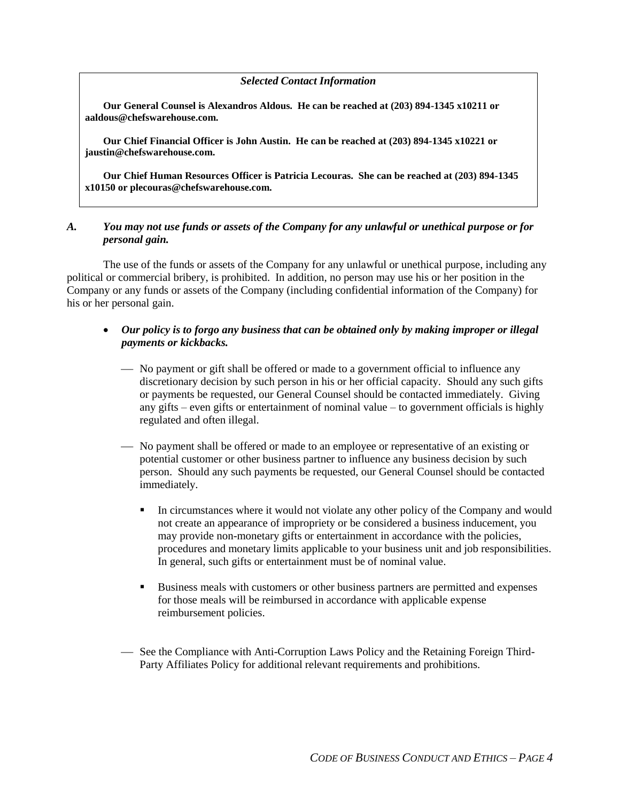#### *Selected Contact Information*

**Our General Counsel is Alexandros Aldous. He can be reached at (203) 894-1345 x10211 or aaldous@chefswarehouse.com.**

**Our Chief Financial Officer is John Austin. He can be reached at (203) 894-1345 x10221 or jaustin@chefswarehouse.com.** 

**Our Chief Human Resources Officer is Patricia Lecouras. She can be reached at (203) 894-1345 x10150 or plecouras@chefswarehouse.com.**

## *A. You may not use funds or assets of the Company for any unlawful or unethical purpose or for personal gain.*

The use of the funds or assets of the Company for any unlawful or unethical purpose, including any political or commercial bribery, is prohibited. In addition, no person may use his or her position in the Company or any funds or assets of the Company (including confidential information of the Company) for his or her personal gain.

## *Our policy is to forgo any business that can be obtained only by making improper or illegal payments or kickbacks.*

- No payment or gift shall be offered or made to a government official to influence any discretionary decision by such person in his or her official capacity. Should any such gifts or payments be requested, our General Counsel should be contacted immediately. Giving any gifts – even gifts or entertainment of nominal value – to government officials is highly regulated and often illegal.
- No payment shall be offered or made to an employee or representative of an existing or potential customer or other business partner to influence any business decision by such person. Should any such payments be requested, our General Counsel should be contacted immediately.
	- In circumstances where it would not violate any other policy of the Company and would not create an appearance of impropriety or be considered a business inducement, you may provide non-monetary gifts or entertainment in accordance with the policies, procedures and monetary limits applicable to your business unit and job responsibilities. In general, such gifts or entertainment must be of nominal value.
	- Business meals with customers or other business partners are permitted and expenses for those meals will be reimbursed in accordance with applicable expense reimbursement policies.
- See the Compliance with Anti-Corruption Laws Policy and the Retaining Foreign Third-Party Affiliates Policy for additional relevant requirements and prohibitions.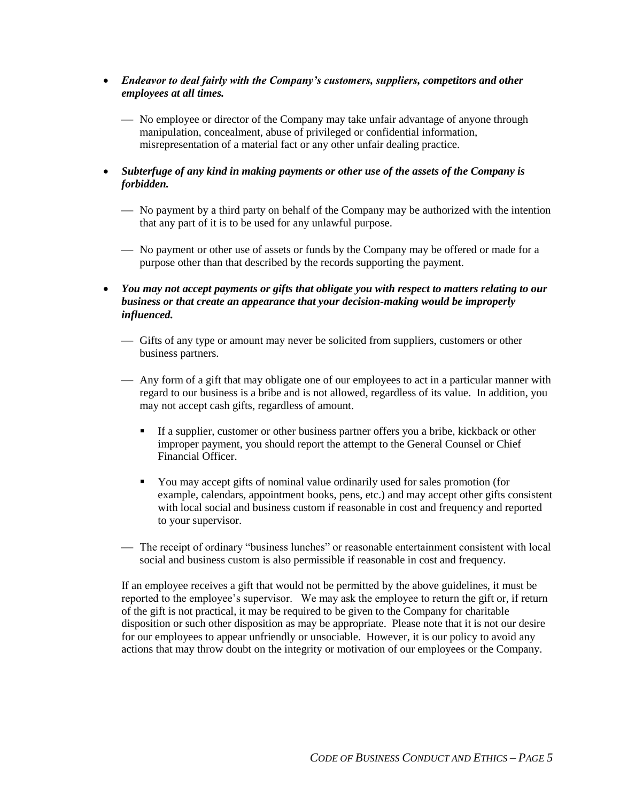- *Endeavor to deal fairly with the Company's customers, suppliers, competitors and other employees at all times.*
	- No employee or director of the Company may take unfair advantage of anyone through manipulation, concealment, abuse of privileged or confidential information, misrepresentation of a material fact or any other unfair dealing practice.
- *Subterfuge of any kind in making payments or other use of the assets of the Company is forbidden.*
	- No payment by a third party on behalf of the Company may be authorized with the intention that any part of it is to be used for any unlawful purpose.
	- No payment or other use of assets or funds by the Company may be offered or made for a purpose other than that described by the records supporting the payment.
- *You may not accept payments or gifts that obligate you with respect to matters relating to our business or that create an appearance that your decision-making would be improperly influenced.*
	- Gifts of any type or amount may never be solicited from suppliers, customers or other business partners.
	- Any form of a gift that may obligate one of our employees to act in a particular manner with regard to our business is a bribe and is not allowed, regardless of its value. In addition, you may not accept cash gifts, regardless of amount.
		- If a supplier, customer or other business partner offers you a bribe, kickback or other improper payment, you should report the attempt to the General Counsel or Chief Financial Officer.
		- You may accept gifts of nominal value ordinarily used for sales promotion (for example, calendars, appointment books, pens, etc.) and may accept other gifts consistent with local social and business custom if reasonable in cost and frequency and reported to your supervisor.
	- The receipt of ordinary "business lunches" or reasonable entertainment consistent with local social and business custom is also permissible if reasonable in cost and frequency.

If an employee receives a gift that would not be permitted by the above guidelines, it must be reported to the employee's supervisor. We may ask the employee to return the gift or, if return of the gift is not practical, it may be required to be given to the Company for charitable disposition or such other disposition as may be appropriate. Please note that it is not our desire for our employees to appear unfriendly or unsociable. However, it is our policy to avoid any actions that may throw doubt on the integrity or motivation of our employees or the Company.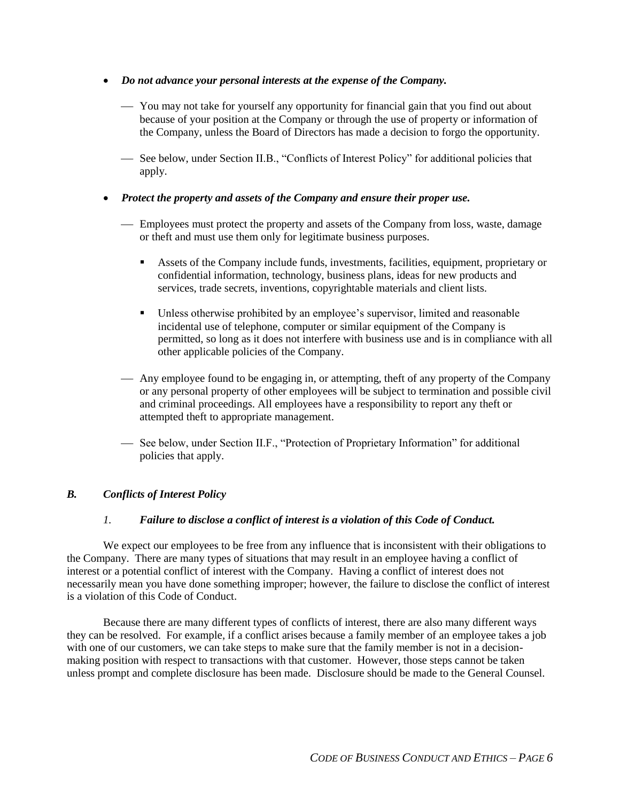- *Do not advance your personal interests at the expense of the Company.*
	- You may not take for yourself any opportunity for financial gain that you find out about because of your position at the Company or through the use of property or information of the Company, unless the Board of Directors has made a decision to forgo the opportunity.
	- See below, under Section II.B., "Conflicts of Interest Policy" for additional policies that apply.
- *Protect the property and assets of the Company and ensure their proper use.*
	- Employees must protect the property and assets of the Company from loss, waste, damage or theft and must use them only for legitimate business purposes.
		- Assets of the Company include funds, investments, facilities, equipment, proprietary or confidential information, technology, business plans, ideas for new products and services, trade secrets, inventions, copyrightable materials and client lists.
		- Unless otherwise prohibited by an employee's supervisor, limited and reasonable incidental use of telephone, computer or similar equipment of the Company is permitted, so long as it does not interfere with business use and is in compliance with all other applicable policies of the Company.
	- Any employee found to be engaging in, or attempting, theft of any property of the Company or any personal property of other employees will be subject to termination and possible civil and criminal proceedings. All employees have a responsibility to report any theft or attempted theft to appropriate management.
	- See below, under Section II.F., "Protection of Proprietary Information" for additional policies that apply.

## *B. Conflicts of Interest Policy*

## *1. Failure to disclose a conflict of interest is a violation of this Code of Conduct.*

We expect our employees to be free from any influence that is inconsistent with their obligations to the Company. There are many types of situations that may result in an employee having a conflict of interest or a potential conflict of interest with the Company. Having a conflict of interest does not necessarily mean you have done something improper; however, the failure to disclose the conflict of interest is a violation of this Code of Conduct.

Because there are many different types of conflicts of interest, there are also many different ways they can be resolved. For example, if a conflict arises because a family member of an employee takes a job with one of our customers, we can take steps to make sure that the family member is not in a decisionmaking position with respect to transactions with that customer. However, those steps cannot be taken unless prompt and complete disclosure has been made. Disclosure should be made to the General Counsel.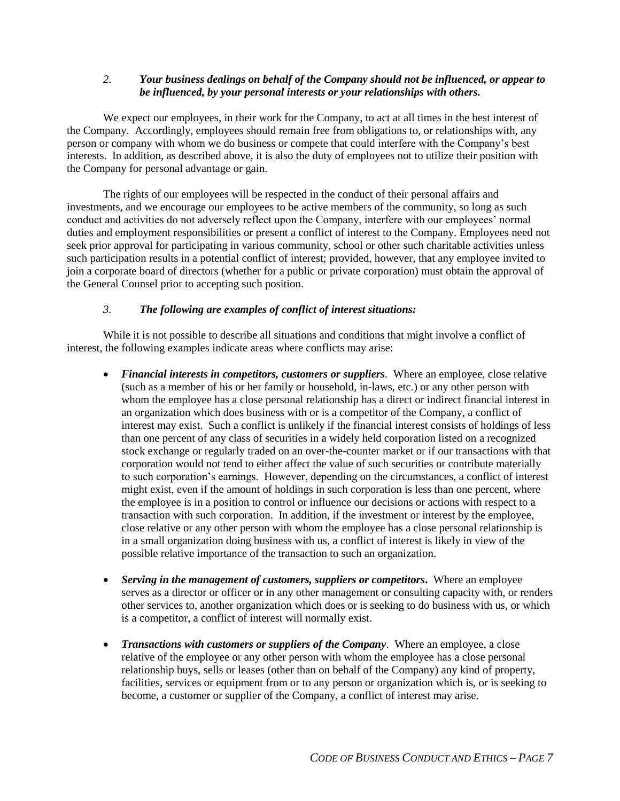## *2. Your business dealings on behalf of the Company should not be influenced, or appear to be influenced, by your personal interests or your relationships with others.*

We expect our employees, in their work for the Company, to act at all times in the best interest of the Company. Accordingly, employees should remain free from obligations to, or relationships with, any person or company with whom we do business or compete that could interfere with the Company's best interests. In addition, as described above, it is also the duty of employees not to utilize their position with the Company for personal advantage or gain.

The rights of our employees will be respected in the conduct of their personal affairs and investments, and we encourage our employees to be active members of the community, so long as such conduct and activities do not adversely reflect upon the Company, interfere with our employees' normal duties and employment responsibilities or present a conflict of interest to the Company. Employees need not seek prior approval for participating in various community, school or other such charitable activities unless such participation results in a potential conflict of interest; provided, however, that any employee invited to join a corporate board of directors (whether for a public or private corporation) must obtain the approval of the General Counsel prior to accepting such position.

## *3. The following are examples of conflict of interest situations:*

While it is not possible to describe all situations and conditions that might involve a conflict of interest, the following examples indicate areas where conflicts may arise:

- *Financial interests in competitors, customers or suppliers.* Where an employee, close relative (such as a member of his or her family or household, in-laws, etc.) or any other person with whom the employee has a close personal relationship has a direct or indirect financial interest in an organization which does business with or is a competitor of the Company, a conflict of interest may exist. Such a conflict is unlikely if the financial interest consists of holdings of less than one percent of any class of securities in a widely held corporation listed on a recognized stock exchange or regularly traded on an over-the-counter market or if our transactions with that corporation would not tend to either affect the value of such securities or contribute materially to such corporation's earnings. However, depending on the circumstances, a conflict of interest might exist, even if the amount of holdings in such corporation is less than one percent, where the employee is in a position to control or influence our decisions or actions with respect to a transaction with such corporation. In addition, if the investment or interest by the employee, close relative or any other person with whom the employee has a close personal relationship is in a small organization doing business with us, a conflict of interest is likely in view of the possible relative importance of the transaction to such an organization.
- *Serving in the management of customers, suppliers or competitors***.** Where an employee serves as a director or officer or in any other management or consulting capacity with, or renders other services to, another organization which does or is seeking to do business with us, or which is a competitor, a conflict of interest will normally exist.
- *Transactions with customers or suppliers of the Company*. Where an employee, a close relative of the employee or any other person with whom the employee has a close personal relationship buys, sells or leases (other than on behalf of the Company) any kind of property, facilities, services or equipment from or to any person or organization which is, or is seeking to become, a customer or supplier of the Company, a conflict of interest may arise.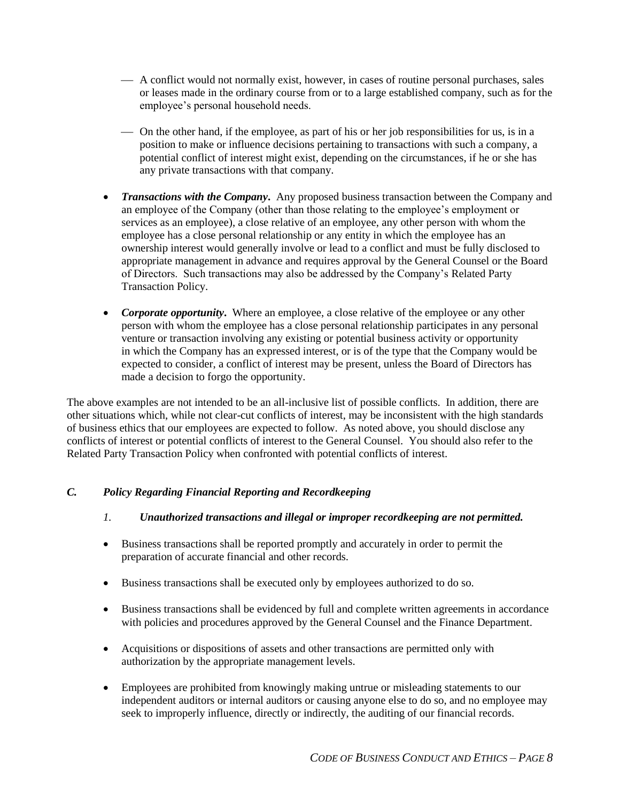- A conflict would not normally exist, however, in cases of routine personal purchases, sales or leases made in the ordinary course from or to a large established company, such as for the employee's personal household needs.
- On the other hand, if the employee, as part of his or her job responsibilities for us, is in a position to make or influence decisions pertaining to transactions with such a company, a potential conflict of interest might exist, depending on the circumstances, if he or she has any private transactions with that company.
- *Transactions with the Company***.** Any proposed business transaction between the Company and an employee of the Company (other than those relating to the employee's employment or services as an employee), a close relative of an employee, any other person with whom the employee has a close personal relationship or any entity in which the employee has an ownership interest would generally involve or lead to a conflict and must be fully disclosed to appropriate management in advance and requires approval by the General Counsel or the Board of Directors. Such transactions may also be addressed by the Company's Related Party Transaction Policy.
- *Corporate opportunity*. Where an employee, a close relative of the employee or any other person with whom the employee has a close personal relationship participates in any personal venture or transaction involving any existing or potential business activity or opportunity in which the Company has an expressed interest, or is of the type that the Company would be expected to consider, a conflict of interest may be present, unless the Board of Directors has made a decision to forgo the opportunity.

The above examples are not intended to be an all-inclusive list of possible conflicts. In addition, there are other situations which, while not clear-cut conflicts of interest, may be inconsistent with the high standards of business ethics that our employees are expected to follow. As noted above, you should disclose any conflicts of interest or potential conflicts of interest to the General Counsel. You should also refer to the Related Party Transaction Policy when confronted with potential conflicts of interest.

## *C. Policy Regarding Financial Reporting and Recordkeeping*

## *1. Unauthorized transactions and illegal or improper recordkeeping are not permitted.*

- Business transactions shall be reported promptly and accurately in order to permit the preparation of accurate financial and other records.
- Business transactions shall be executed only by employees authorized to do so.
- Business transactions shall be evidenced by full and complete written agreements in accordance with policies and procedures approved by the General Counsel and the Finance Department.
- Acquisitions or dispositions of assets and other transactions are permitted only with authorization by the appropriate management levels.
- Employees are prohibited from knowingly making untrue or misleading statements to our independent auditors or internal auditors or causing anyone else to do so, and no employee may seek to improperly influence, directly or indirectly, the auditing of our financial records.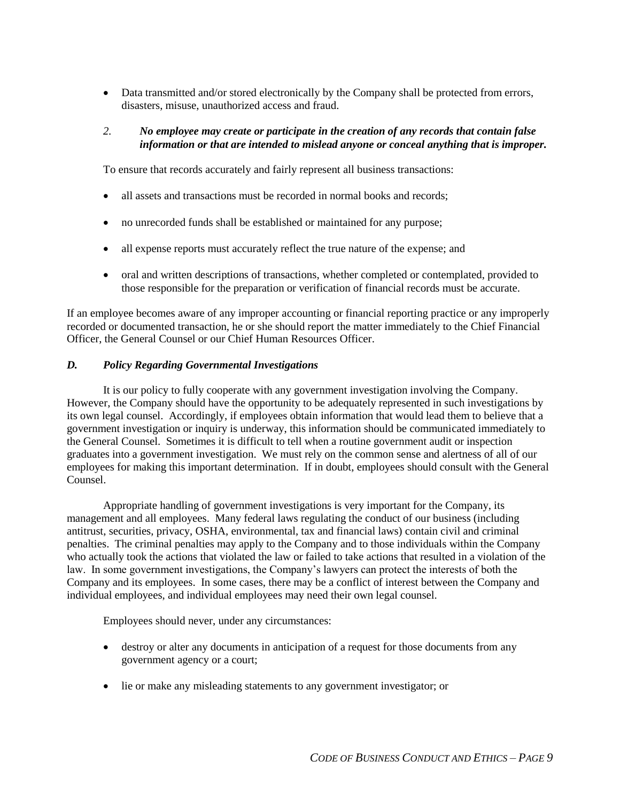• Data transmitted and/or stored electronically by the Company shall be protected from errors, disasters, misuse, unauthorized access and fraud.

## *2. No employee may create or participate in the creation of any records that contain false information or that are intended to mislead anyone or conceal anything that is improper.*

To ensure that records accurately and fairly represent all business transactions:

- all assets and transactions must be recorded in normal books and records;
- no unrecorded funds shall be established or maintained for any purpose;
- all expense reports must accurately reflect the true nature of the expense; and
- oral and written descriptions of transactions, whether completed or contemplated, provided to those responsible for the preparation or verification of financial records must be accurate.

If an employee becomes aware of any improper accounting or financial reporting practice or any improperly recorded or documented transaction, he or she should report the matter immediately to the Chief Financial Officer, the General Counsel or our Chief Human Resources Officer.

## *D. Policy Regarding Governmental Investigations*

It is our policy to fully cooperate with any government investigation involving the Company. However, the Company should have the opportunity to be adequately represented in such investigations by its own legal counsel. Accordingly, if employees obtain information that would lead them to believe that a government investigation or inquiry is underway, this information should be communicated immediately to the General Counsel. Sometimes it is difficult to tell when a routine government audit or inspection graduates into a government investigation. We must rely on the common sense and alertness of all of our employees for making this important determination. If in doubt, employees should consult with the General Counsel.

Appropriate handling of government investigations is very important for the Company, its management and all employees. Many federal laws regulating the conduct of our business (including antitrust, securities, privacy, OSHA, environmental, tax and financial laws) contain civil and criminal penalties. The criminal penalties may apply to the Company and to those individuals within the Company who actually took the actions that violated the law or failed to take actions that resulted in a violation of the law. In some government investigations, the Company's lawyers can protect the interests of both the Company and its employees. In some cases, there may be a conflict of interest between the Company and individual employees, and individual employees may need their own legal counsel.

Employees should never, under any circumstances:

- destroy or alter any documents in anticipation of a request for those documents from any government agency or a court;
- lie or make any misleading statements to any government investigator; or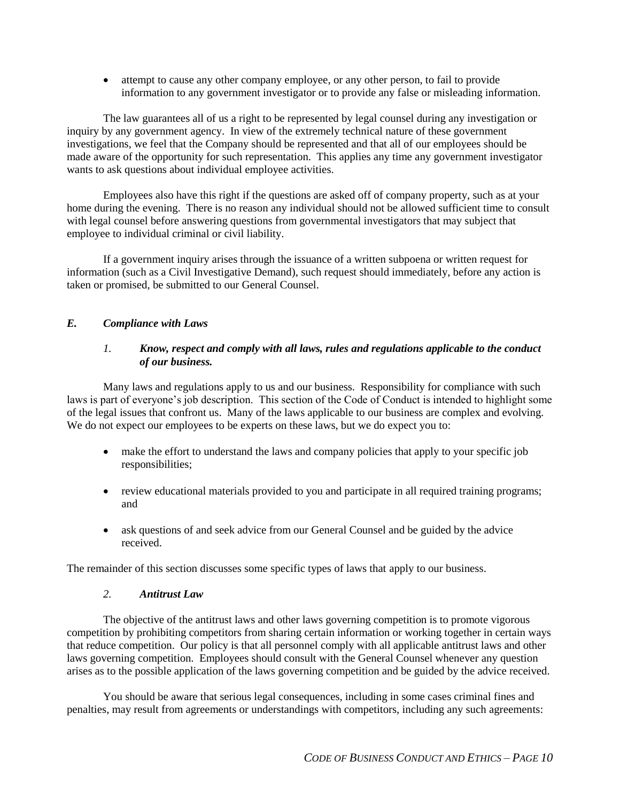attempt to cause any other company employee, or any other person, to fail to provide information to any government investigator or to provide any false or misleading information.

The law guarantees all of us a right to be represented by legal counsel during any investigation or inquiry by any government agency. In view of the extremely technical nature of these government investigations, we feel that the Company should be represented and that all of our employees should be made aware of the opportunity for such representation. This applies any time any government investigator wants to ask questions about individual employee activities.

Employees also have this right if the questions are asked off of company property, such as at your home during the evening. There is no reason any individual should not be allowed sufficient time to consult with legal counsel before answering questions from governmental investigators that may subject that employee to individual criminal or civil liability.

If a government inquiry arises through the issuance of a written subpoena or written request for information (such as a Civil Investigative Demand), such request should immediately, before any action is taken or promised, be submitted to our General Counsel.

## *E. Compliance with Laws*

## *1. Know, respect and comply with all laws, rules and regulations applicable to the conduct of our business.*

Many laws and regulations apply to us and our business. Responsibility for compliance with such laws is part of everyone's job description. This section of the Code of Conduct is intended to highlight some of the legal issues that confront us. Many of the laws applicable to our business are complex and evolving. We do not expect our employees to be experts on these laws, but we do expect you to:

- make the effort to understand the laws and company policies that apply to your specific job responsibilities;
- review educational materials provided to you and participate in all required training programs; and
- ask questions of and seek advice from our General Counsel and be guided by the advice received.

The remainder of this section discusses some specific types of laws that apply to our business.

#### *2. Antitrust Law*

The objective of the antitrust laws and other laws governing competition is to promote vigorous competition by prohibiting competitors from sharing certain information or working together in certain ways that reduce competition. Our policy is that all personnel comply with all applicable antitrust laws and other laws governing competition. Employees should consult with the General Counsel whenever any question arises as to the possible application of the laws governing competition and be guided by the advice received.

You should be aware that serious legal consequences, including in some cases criminal fines and penalties, may result from agreements or understandings with competitors, including any such agreements: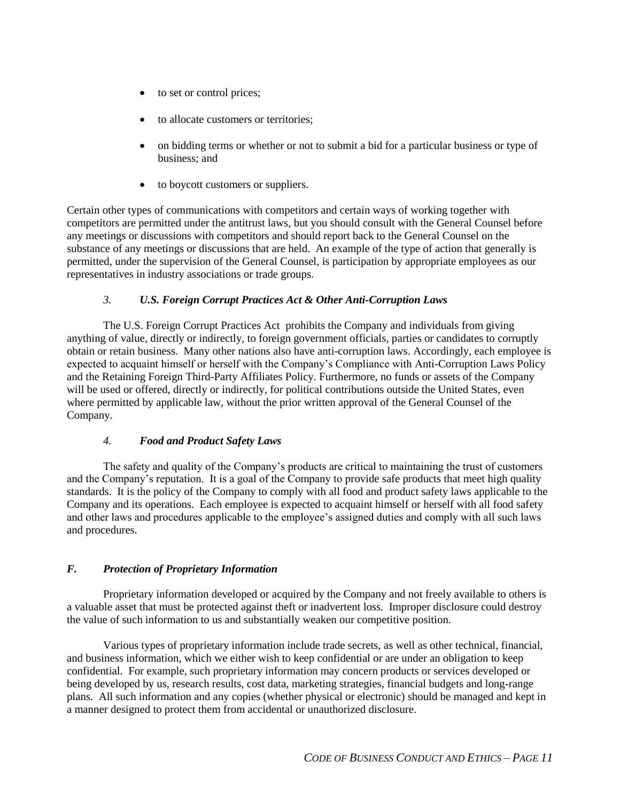- to set or control prices;
- to allocate customers or territories:
- on bidding terms or whether or not to submit a bid for a particular business or type of business; and
- to boycott customers or suppliers.

Certain other types of communications with competitors and certain ways of working together with competitors are permitted under the antitrust laws, but you should consult with the General Counsel before any meetings or discussions with competitors and should report back to the General Counsel on the substance of any meetings or discussions that are held. An example of the type of action that generally is permitted, under the supervision of the General Counsel, is participation by appropriate employees as our representatives in industry associations or trade groups.

## *3. U.S. Foreign Corrupt Practices Act & Other Anti-Corruption Laws*

The U.S. Foreign Corrupt Practices Act prohibits the Company and individuals from giving anything of value, directly or indirectly, to foreign government officials, parties or candidates to corruptly obtain or retain business. Many other nations also have anti-corruption laws. Accordingly, each employee is expected to acquaint himself or herself with the Company's Compliance with Anti-Corruption Laws Policy and the Retaining Foreign Third-Party Affiliates Policy. Furthermore, no funds or assets of the Company will be used or offered, directly or indirectly, for political contributions outside the United States, even where permitted by applicable law, without the prior written approval of the General Counsel of the Company.

## *4. Food and Product Safety Laws*

The safety and quality of the Company's products are critical to maintaining the trust of customers and the Company's reputation. It is a goal of the Company to provide safe products that meet high quality standards. It is the policy of the Company to comply with all food and product safety laws applicable to the Company and its operations. Each employee is expected to acquaint himself or herself with all food safety and other laws and procedures applicable to the employee's assigned duties and comply with all such laws and procedures.

## *F. Protection of Proprietary Information*

Proprietary information developed or acquired by the Company and not freely available to others is a valuable asset that must be protected against theft or inadvertent loss. Improper disclosure could destroy the value of such information to us and substantially weaken our competitive position.

Various types of proprietary information include trade secrets, as well as other technical, financial, and business information, which we either wish to keep confidential or are under an obligation to keep confidential. For example, such proprietary information may concern products or services developed or being developed by us, research results, cost data, marketing strategies, financial budgets and long-range plans. All such information and any copies (whether physical or electronic) should be managed and kept in a manner designed to protect them from accidental or unauthorized disclosure.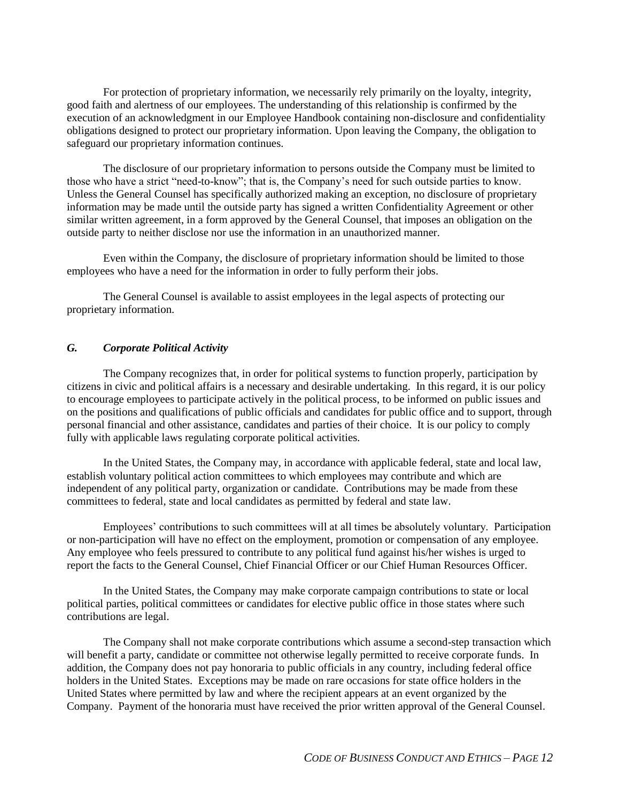For protection of proprietary information, we necessarily rely primarily on the loyalty, integrity, good faith and alertness of our employees. The understanding of this relationship is confirmed by the execution of an acknowledgment in our Employee Handbook containing non-disclosure and confidentiality obligations designed to protect our proprietary information. Upon leaving the Company, the obligation to safeguard our proprietary information continues.

The disclosure of our proprietary information to persons outside the Company must be limited to those who have a strict "need-to-know"; that is, the Company's need for such outside parties to know. Unless the General Counsel has specifically authorized making an exception, no disclosure of proprietary information may be made until the outside party has signed a written Confidentiality Agreement or other similar written agreement, in a form approved by the General Counsel, that imposes an obligation on the outside party to neither disclose nor use the information in an unauthorized manner.

Even within the Company, the disclosure of proprietary information should be limited to those employees who have a need for the information in order to fully perform their jobs.

The General Counsel is available to assist employees in the legal aspects of protecting our proprietary information.

## *G. Corporate Political Activity*

The Company recognizes that, in order for political systems to function properly, participation by citizens in civic and political affairs is a necessary and desirable undertaking. In this regard, it is our policy to encourage employees to participate actively in the political process, to be informed on public issues and on the positions and qualifications of public officials and candidates for public office and to support, through personal financial and other assistance, candidates and parties of their choice. It is our policy to comply fully with applicable laws regulating corporate political activities.

In the United States, the Company may, in accordance with applicable federal, state and local law, establish voluntary political action committees to which employees may contribute and which are independent of any political party, organization or candidate. Contributions may be made from these committees to federal, state and local candidates as permitted by federal and state law.

Employees' contributions to such committees will at all times be absolutely voluntary. Participation or non-participation will have no effect on the employment, promotion or compensation of any employee. Any employee who feels pressured to contribute to any political fund against his/her wishes is urged to report the facts to the General Counsel, Chief Financial Officer or our Chief Human Resources Officer.

In the United States, the Company may make corporate campaign contributions to state or local political parties, political committees or candidates for elective public office in those states where such contributions are legal.

The Company shall not make corporate contributions which assume a second-step transaction which will benefit a party, candidate or committee not otherwise legally permitted to receive corporate funds. In addition, the Company does not pay honoraria to public officials in any country, including federal office holders in the United States. Exceptions may be made on rare occasions for state office holders in the United States where permitted by law and where the recipient appears at an event organized by the Company. Payment of the honoraria must have received the prior written approval of the General Counsel.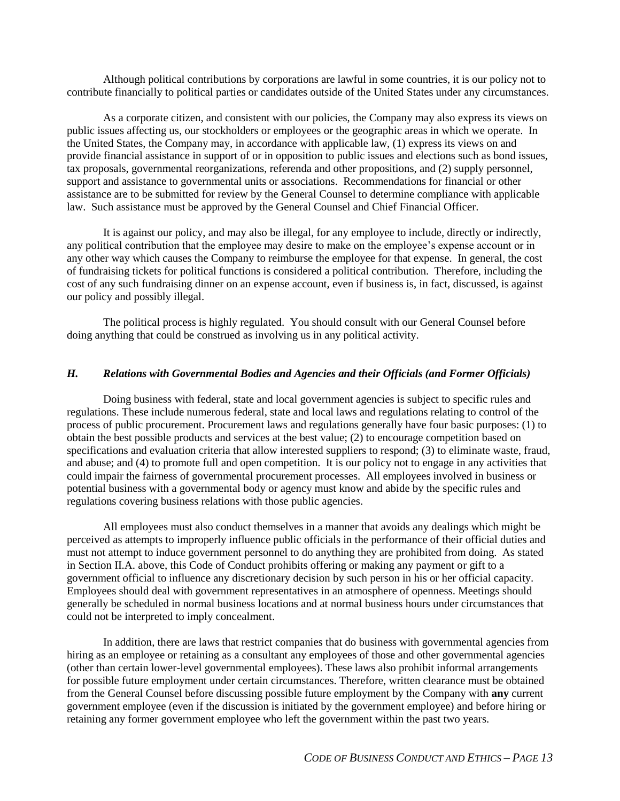Although political contributions by corporations are lawful in some countries, it is our policy not to contribute financially to political parties or candidates outside of the United States under any circumstances.

As a corporate citizen, and consistent with our policies, the Company may also express its views on public issues affecting us, our stockholders or employees or the geographic areas in which we operate. In the United States, the Company may, in accordance with applicable law, (1) express its views on and provide financial assistance in support of or in opposition to public issues and elections such as bond issues, tax proposals, governmental reorganizations, referenda and other propositions, and (2) supply personnel, support and assistance to governmental units or associations. Recommendations for financial or other assistance are to be submitted for review by the General Counsel to determine compliance with applicable law. Such assistance must be approved by the General Counsel and Chief Financial Officer.

It is against our policy, and may also be illegal, for any employee to include, directly or indirectly, any political contribution that the employee may desire to make on the employee's expense account or in any other way which causes the Company to reimburse the employee for that expense. In general, the cost of fundraising tickets for political functions is considered a political contribution. Therefore, including the cost of any such fundraising dinner on an expense account, even if business is, in fact, discussed, is against our policy and possibly illegal.

The political process is highly regulated. You should consult with our General Counsel before doing anything that could be construed as involving us in any political activity.

## *H. Relations with Governmental Bodies and Agencies and their Officials (and Former Officials)*

Doing business with federal, state and local government agencies is subject to specific rules and regulations. These include numerous federal, state and local laws and regulations relating to control of the process of public procurement. Procurement laws and regulations generally have four basic purposes: (1) to obtain the best possible products and services at the best value; (2) to encourage competition based on specifications and evaluation criteria that allow interested suppliers to respond; (3) to eliminate waste, fraud, and abuse; and (4) to promote full and open competition. It is our policy not to engage in any activities that could impair the fairness of governmental procurement processes. All employees involved in business or potential business with a governmental body or agency must know and abide by the specific rules and regulations covering business relations with those public agencies.

All employees must also conduct themselves in a manner that avoids any dealings which might be perceived as attempts to improperly influence public officials in the performance of their official duties and must not attempt to induce government personnel to do anything they are prohibited from doing. As stated in Section II.A. above, this Code of Conduct prohibits offering or making any payment or gift to a government official to influence any discretionary decision by such person in his or her official capacity. Employees should deal with government representatives in an atmosphere of openness. Meetings should generally be scheduled in normal business locations and at normal business hours under circumstances that could not be interpreted to imply concealment.

In addition, there are laws that restrict companies that do business with governmental agencies from hiring as an employee or retaining as a consultant any employees of those and other governmental agencies (other than certain lower-level governmental employees). These laws also prohibit informal arrangements for possible future employment under certain circumstances. Therefore, written clearance must be obtained from the General Counsel before discussing possible future employment by the Company with **any** current government employee (even if the discussion is initiated by the government employee) and before hiring or retaining any former government employee who left the government within the past two years.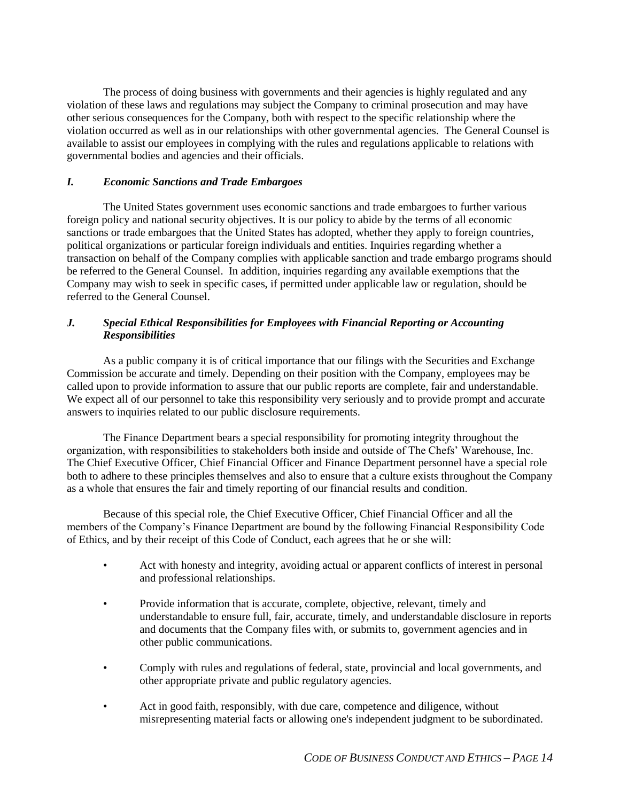The process of doing business with governments and their agencies is highly regulated and any violation of these laws and regulations may subject the Company to criminal prosecution and may have other serious consequences for the Company, both with respect to the specific relationship where the violation occurred as well as in our relationships with other governmental agencies. The General Counsel is available to assist our employees in complying with the rules and regulations applicable to relations with governmental bodies and agencies and their officials.

## *I. Economic Sanctions and Trade Embargoes*

The United States government uses economic sanctions and trade embargoes to further various foreign policy and national security objectives. It is our policy to abide by the terms of all economic sanctions or trade embargoes that the United States has adopted, whether they apply to foreign countries, political organizations or particular foreign individuals and entities. Inquiries regarding whether a transaction on behalf of the Company complies with applicable sanction and trade embargo programs should be referred to the General Counsel. In addition, inquiries regarding any available exemptions that the Company may wish to seek in specific cases, if permitted under applicable law or regulation, should be referred to the General Counsel.

## *J. Special Ethical Responsibilities for Employees with Financial Reporting or Accounting Responsibilities*

As a public company it is of critical importance that our filings with the Securities and Exchange Commission be accurate and timely. Depending on their position with the Company, employees may be called upon to provide information to assure that our public reports are complete, fair and understandable. We expect all of our personnel to take this responsibility very seriously and to provide prompt and accurate answers to inquiries related to our public disclosure requirements.

The Finance Department bears a special responsibility for promoting integrity throughout the organization, with responsibilities to stakeholders both inside and outside of The Chefs' Warehouse, Inc. The Chief Executive Officer, Chief Financial Officer and Finance Department personnel have a special role both to adhere to these principles themselves and also to ensure that a culture exists throughout the Company as a whole that ensures the fair and timely reporting of our financial results and condition.

Because of this special role, the Chief Executive Officer, Chief Financial Officer and all the members of the Company's Finance Department are bound by the following Financial Responsibility Code of Ethics, and by their receipt of this Code of Conduct, each agrees that he or she will:

- Act with honesty and integrity, avoiding actual or apparent conflicts of interest in personal and professional relationships.
- Provide information that is accurate, complete, objective, relevant, timely and understandable to ensure full, fair, accurate, timely, and understandable disclosure in reports and documents that the Company files with, or submits to, government agencies and in other public communications.
- Comply with rules and regulations of federal, state, provincial and local governments, and other appropriate private and public regulatory agencies.
- Act in good faith, responsibly, with due care, competence and diligence, without misrepresenting material facts or allowing one's independent judgment to be subordinated.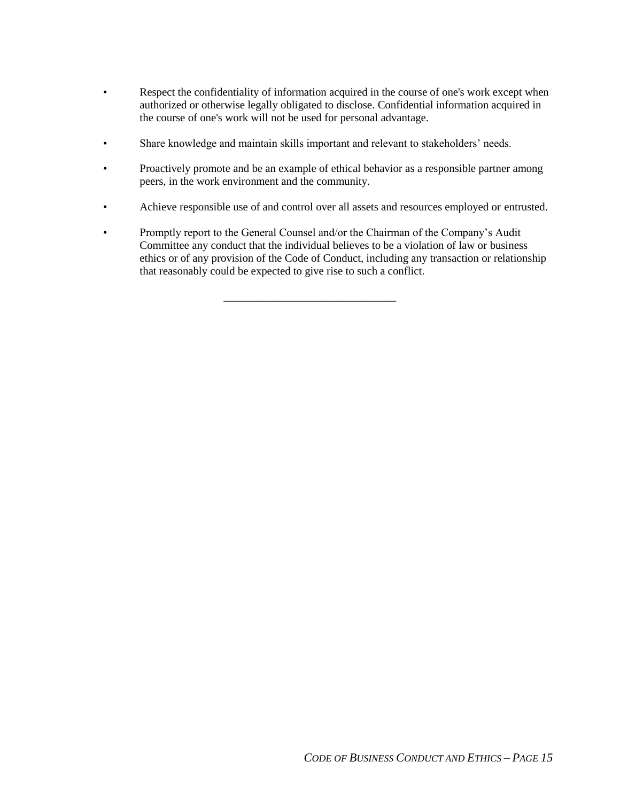- Respect the confidentiality of information acquired in the course of one's work except when authorized or otherwise legally obligated to disclose. Confidential information acquired in the course of one's work will not be used for personal advantage.
- Share knowledge and maintain skills important and relevant to stakeholders' needs.
- Proactively promote and be an example of ethical behavior as a responsible partner among peers, in the work environment and the community.
- Achieve responsible use of and control over all assets and resources employed or entrusted.
- Promptly report to the General Counsel and/or the Chairman of the Company's Audit Committee any conduct that the individual believes to be a violation of law or business ethics or of any provision of the Code of Conduct, including any transaction or relationship that reasonably could be expected to give rise to such a conflict.

\_\_\_\_\_\_\_\_\_\_\_\_\_\_\_\_\_\_\_\_\_\_\_\_\_\_\_\_\_\_\_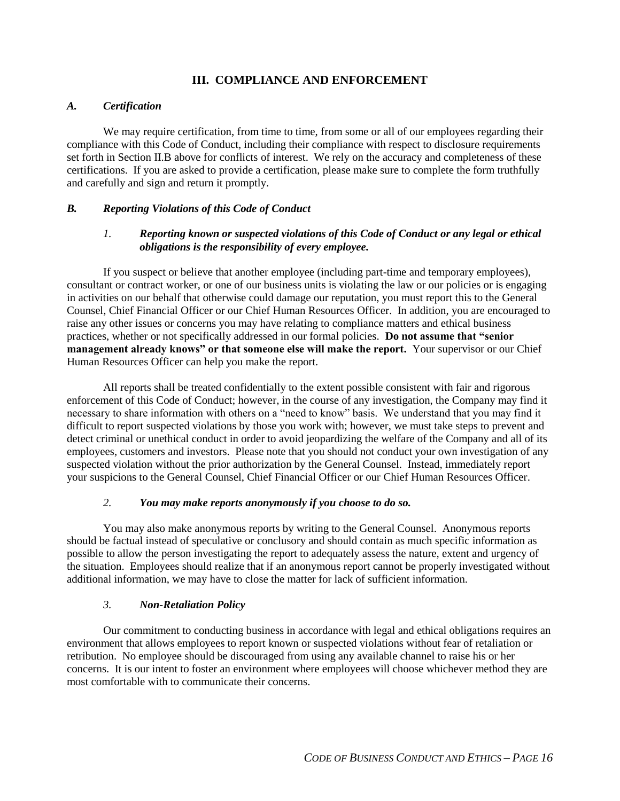## **III. COMPLIANCE AND ENFORCEMENT**

#### *A. Certification*

We may require certification, from time to time, from some or all of our employees regarding their compliance with this Code of Conduct, including their compliance with respect to disclosure requirements set forth in Section II.B above for conflicts of interest. We rely on the accuracy and completeness of these certifications. If you are asked to provide a certification, please make sure to complete the form truthfully and carefully and sign and return it promptly.

## *B. Reporting Violations of this Code of Conduct*

## *1. Reporting known or suspected violations of this Code of Conduct or any legal or ethical obligations is the responsibility of every employee.*

If you suspect or believe that another employee (including part-time and temporary employees), consultant or contract worker, or one of our business units is violating the law or our policies or is engaging in activities on our behalf that otherwise could damage our reputation, you must report this to the General Counsel, Chief Financial Officer or our Chief Human Resources Officer. In addition, you are encouraged to raise any other issues or concerns you may have relating to compliance matters and ethical business practices, whether or not specifically addressed in our formal policies. **Do not assume that "senior management already knows" or that someone else will make the report.** Your supervisor or our Chief Human Resources Officer can help you make the report.

All reports shall be treated confidentially to the extent possible consistent with fair and rigorous enforcement of this Code of Conduct; however, in the course of any investigation, the Company may find it necessary to share information with others on a "need to know" basis. We understand that you may find it difficult to report suspected violations by those you work with; however, we must take steps to prevent and detect criminal or unethical conduct in order to avoid jeopardizing the welfare of the Company and all of its employees, customers and investors. Please note that you should not conduct your own investigation of any suspected violation without the prior authorization by the General Counsel. Instead, immediately report your suspicions to the General Counsel, Chief Financial Officer or our Chief Human Resources Officer.

## *2. You may make reports anonymously if you choose to do so.*

You may also make anonymous reports by writing to the General Counsel. Anonymous reports should be factual instead of speculative or conclusory and should contain as much specific information as possible to allow the person investigating the report to adequately assess the nature, extent and urgency of the situation. Employees should realize that if an anonymous report cannot be properly investigated without additional information, we may have to close the matter for lack of sufficient information.

## *3. Non-Retaliation Policy*

Our commitment to conducting business in accordance with legal and ethical obligations requires an environment that allows employees to report known or suspected violations without fear of retaliation or retribution. No employee should be discouraged from using any available channel to raise his or her concerns. It is our intent to foster an environment where employees will choose whichever method they are most comfortable with to communicate their concerns.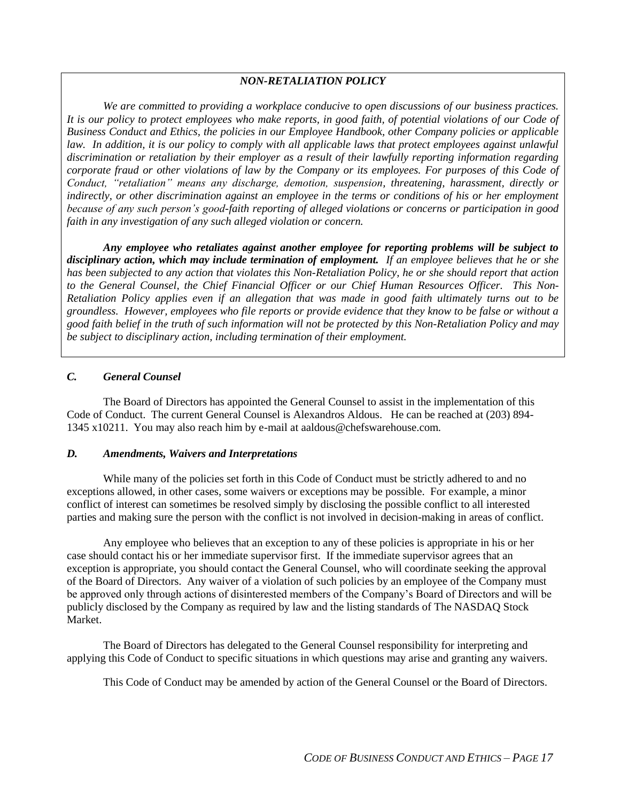## *NON-RETALIATION POLICY*

*We are committed to providing a workplace conducive to open discussions of our business practices. It is our policy to protect employees who make reports, in good faith, of potential violations of our Code of Business Conduct and Ethics, the policies in our Employee Handbook, other Company policies or applicable*  law. In addition, it is our policy to comply with all applicable laws that protect employees against unlawful *discrimination or retaliation by their employer as a result of their lawfully reporting information regarding corporate fraud or other violations of law by the Company or its employees. For purposes of this Code of Conduct, "retaliation" means any discharge, demotion, suspension, threatening, harassment, directly or indirectly, or other discrimination against an employee in the terms or conditions of his or her employment because of any such person's good-faith reporting of alleged violations or concerns or participation in good faith in any investigation of any such alleged violation or concern.*

*Any employee who retaliates against another employee for reporting problems will be subject to disciplinary action, which may include termination of employment. If an employee believes that he or she has been subjected to any action that violates this Non-Retaliation Policy, he or she should report that action to the General Counsel, the Chief Financial Officer or our Chief Human Resources Officer. This Non-Retaliation Policy applies even if an allegation that was made in good faith ultimately turns out to be groundless. However, employees who file reports or provide evidence that they know to be false or without a good faith belief in the truth of such information will not be protected by this Non-Retaliation Policy and may be subject to disciplinary action, including termination of their employment.*

## *C. General Counsel*

The Board of Directors has appointed the General Counsel to assist in the implementation of this Code of Conduct. The current General Counsel is Alexandros Aldous. He can be reached at (203) 894- 1345 x10211. You may also reach him by e-mail at aaldous@chefswarehouse.com.

## *D. Amendments, Waivers and Interpretations*

While many of the policies set forth in this Code of Conduct must be strictly adhered to and no exceptions allowed, in other cases, some waivers or exceptions may be possible. For example, a minor conflict of interest can sometimes be resolved simply by disclosing the possible conflict to all interested parties and making sure the person with the conflict is not involved in decision-making in areas of conflict.

Any employee who believes that an exception to any of these policies is appropriate in his or her case should contact his or her immediate supervisor first. If the immediate supervisor agrees that an exception is appropriate, you should contact the General Counsel, who will coordinate seeking the approval of the Board of Directors. Any waiver of a violation of such policies by an employee of the Company must be approved only through actions of disinterested members of the Company's Board of Directors and will be publicly disclosed by the Company as required by law and the listing standards of The NASDAQ Stock Market.

The Board of Directors has delegated to the General Counsel responsibility for interpreting and applying this Code of Conduct to specific situations in which questions may arise and granting any waivers.

This Code of Conduct may be amended by action of the General Counsel or the Board of Directors.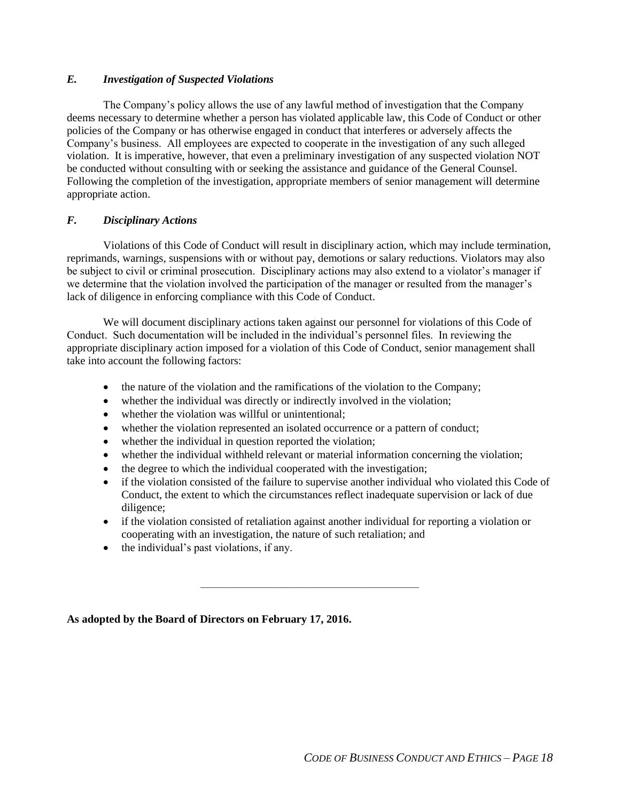## *E. Investigation of Suspected Violations*

The Company's policy allows the use of any lawful method of investigation that the Company deems necessary to determine whether a person has violated applicable law, this Code of Conduct or other policies of the Company or has otherwise engaged in conduct that interferes or adversely affects the Company's business. All employees are expected to cooperate in the investigation of any such alleged violation. It is imperative, however, that even a preliminary investigation of any suspected violation NOT be conducted without consulting with or seeking the assistance and guidance of the General Counsel. Following the completion of the investigation, appropriate members of senior management will determine appropriate action.

## *F. Disciplinary Actions*

Violations of this Code of Conduct will result in disciplinary action, which may include termination, reprimands, warnings, suspensions with or without pay, demotions or salary reductions. Violators may also be subject to civil or criminal prosecution. Disciplinary actions may also extend to a violator's manager if we determine that the violation involved the participation of the manager or resulted from the manager's lack of diligence in enforcing compliance with this Code of Conduct.

We will document disciplinary actions taken against our personnel for violations of this Code of Conduct. Such documentation will be included in the individual's personnel files. In reviewing the appropriate disciplinary action imposed for a violation of this Code of Conduct, senior management shall take into account the following factors:

- the nature of the violation and the ramifications of the violation to the Company;
- whether the individual was directly or indirectly involved in the violation;
- whether the violation was willful or unintentional;
- whether the violation represented an isolated occurrence or a pattern of conduct;
- whether the individual in question reported the violation;
- whether the individual withheld relevant or material information concerning the violation;
- the degree to which the individual cooperated with the investigation;
- if the violation consisted of the failure to supervise another individual who violated this Code of Conduct, the extent to which the circumstances reflect inadequate supervision or lack of due diligence;
- if the violation consisted of retaliation against another individual for reporting a violation or cooperating with an investigation, the nature of such retaliation; and

\_\_\_\_\_\_\_\_\_\_\_\_\_\_\_\_\_\_\_\_\_\_\_\_\_\_\_\_\_\_\_\_\_\_\_\_\_\_\_\_\_\_\_\_\_\_\_\_\_\_\_\_\_\_

• the individual's past violations, if any.

**As adopted by the Board of Directors on February 17, 2016.**